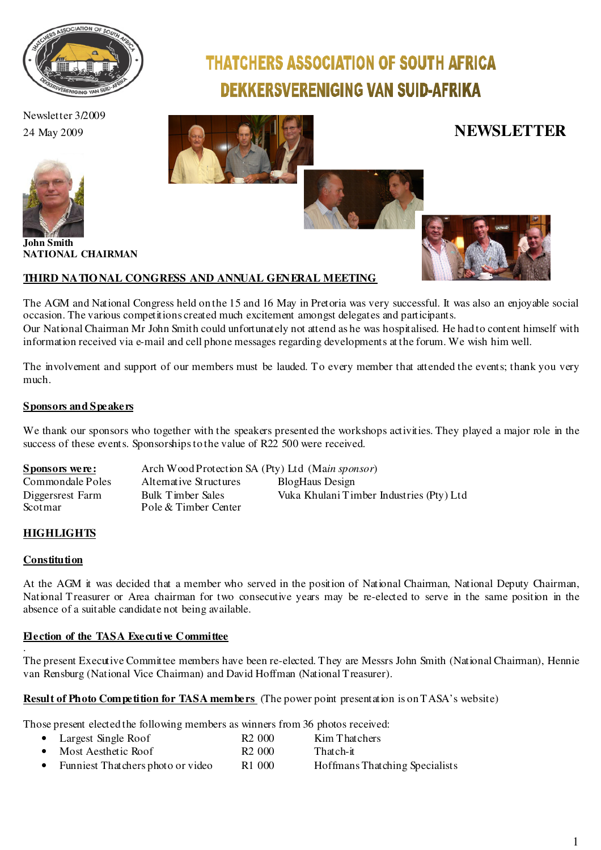

Newsletter 3/2009 24 May 2009 **NEWSLETTER**



**John Smith NATIONAL CHAIRMAN**

### **THIRD NATIO NAL CONGRESS AND ANNUAL GENERAL MEETING**



**THATCHERS ASSOCIATION OF SOUTH AFRICA** 

**DEKKERSVERENIGING VAN SUID-AFRIKA** 



The AGM and National Congress held on the 15 and 16 May in Pretoria was very successful. It was also an enjoyable social occasion. The various competitions created much excitement amongst delegates and participants. Our National Chairman Mr John Smith could unfortunately not attend as he was hospitalised. He had to content himself with information received via e-mail and cell phone messages regarding developments at the forum. We wish him well.

The involvement and support of our members must be lauded. To every member that attended the events; thank you very much.

### **Sponsors and Speakers**

We thank our sponsors who together with the speakers presented the workshops activities. They played a major role in the success of these events. Sponsorships to the value of R22 500 were received.

| <u>Sponsors were:</u> | Arch Wood Protection SA (Pty) Ltd (Main sponsor) |                                          |
|-----------------------|--------------------------------------------------|------------------------------------------|
| Commondale Poles      | Alternative Structures                           | <b>BlogHaus Design</b>                   |
| Diggersrest Farm      | Bulk Timber Sales                                | Vuka Khulani Timber Industries (Pty) Ltd |
| Scotmar               | Pole & Timber Center                             |                                          |

### **HIGHLIGHTS**

### **Constitution**

At the AGM it was decided that a member who served in the position of National Chairman, National Deputy Chairman, National Treasurer or Area chairman for two consecutive years may be re-elected to serve in the same position in the absence of a suitable candidate not being available.

#### **Election of the TASA Executive Committee** .

The present Executive Committee members have been re-elected. They are Messrs John Smith (National Chairman), Hennie van Rensburg (National Vice Chairman) and David Hoffman (National Treasurer).

### **Result of Photo Competition for TASA members** (The power point presentation is on TASA's website)

Those present elected the following members as winners from 36 photos received:

|           | • Largest Single Roof             | R <sub>2</sub> 000 | Kim Thatchers                  |
|-----------|-----------------------------------|--------------------|--------------------------------|
| $\bullet$ | Most Aesthetic Roof               | R <sub>2</sub> 000 | That ch-it                     |
| $\bullet$ | Funniest Thatchers photo or video | R <sub>1</sub> 000 | Hoffmans Thatching Specialists |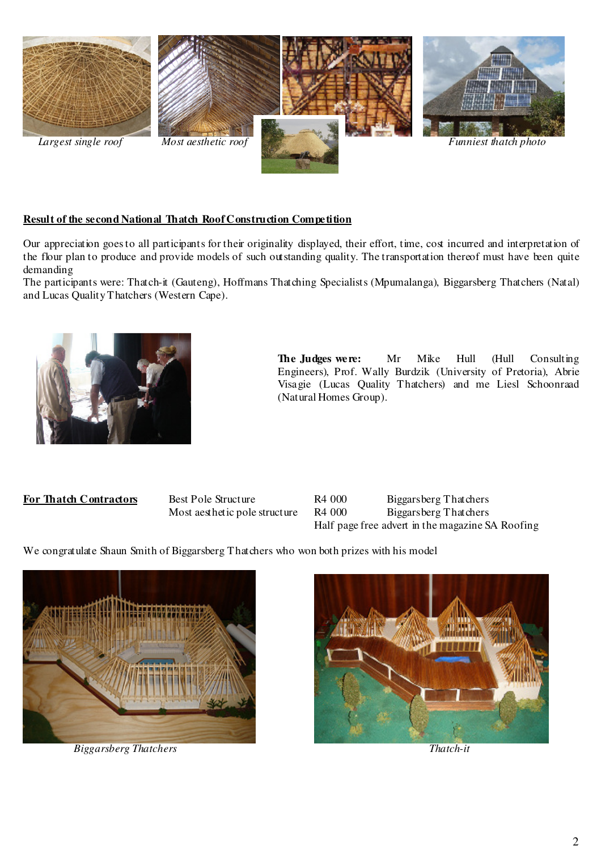

### **Result of the second National Thatch Roof Construction Competition**

Our appreciation goes to all participants for their originality displayed, their effort, time, cost incurred and interpretation of the flour plan to produce and provide models of such outstanding quality. The transportation thereof must have been quite demanding

The participants were: Thatch-it (Gauteng), Hoffmans Thatching Specialists (Mpumalanga), Biggarsberg Thatchers (Natal) and Lucas Quality Thatchers (Western Cape).



 **The Judges were:** Mr Mike Hull (Hull Consulting Engineers), Prof. Wally Burdzik (University of Pretoria), Abrie Visagie (Lucas Quality Thatchers) and me Liesl Schoonraad (Natural Homes Group).



We congratulate Shaun Smith of Biggarsberg Thatchers who won both prizes with his model



 *Biggarsberg Thatchers Thatch-it* 

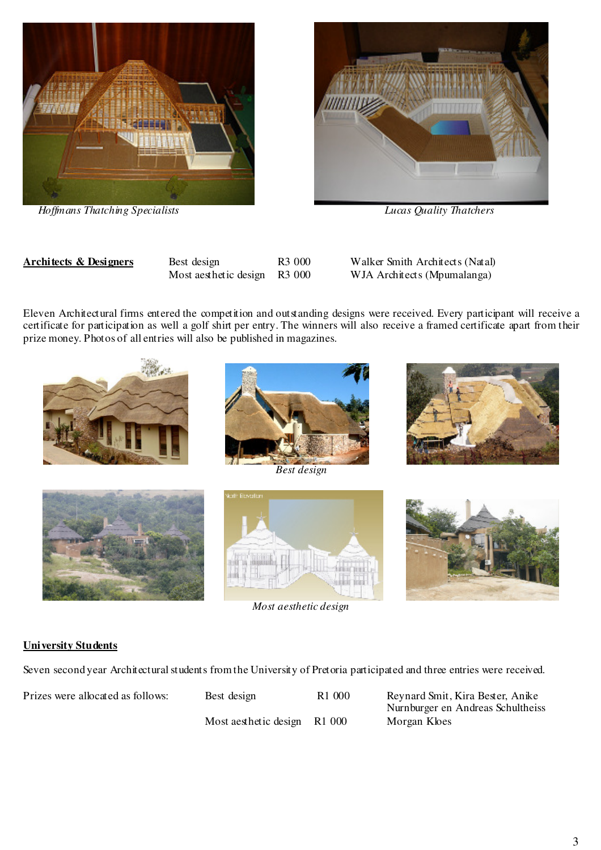

 *Hoffmans Thatching Specialists Lucas Quality Thatchers* 



**Architects & Designers** Best design R3 000 Walker Smith Architects (Natal) Most aesthetic design R3 000 WJA Architects (Mpumalanga)

Eleven Architectural firms entered the competition and outstanding designs were received. Every participant will receive a certificate for participation as well a golf shirt per entry. The winners will also receive a framed certificate apart from their prize money. Photos of all entries will also be published in magazines.







*Best design* 



*Most aesthetic design* 





### **University Students**

Seven second year Architectural students from the University of Pretoria participated and three entries were received.

Most aesthetic design R1 000 Morgan Kloes

Prizes were allocated as follows: Best design R1 000 Reynard Smit, Kira Bester, Anike Nurnburger en Andreas Schultheiss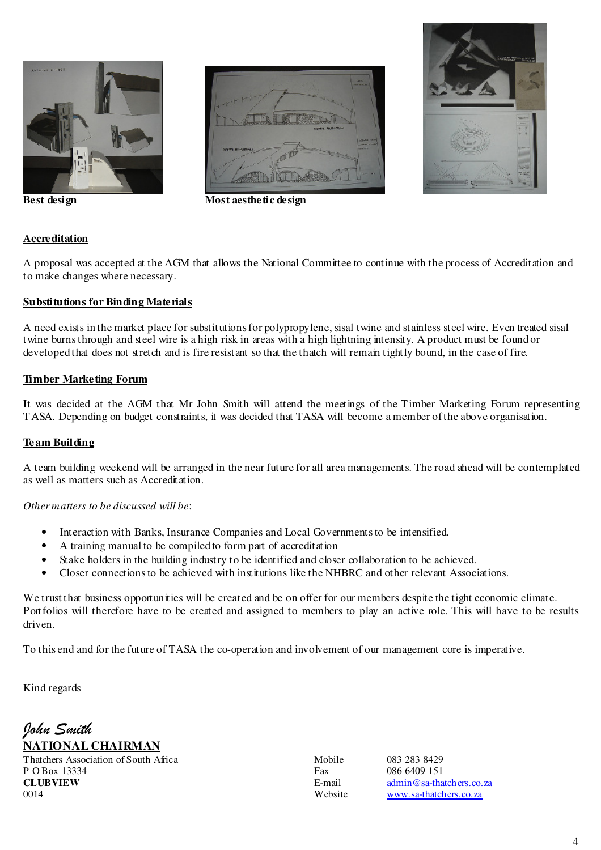





**Best design Most aesthetic design** 

### **Accreditation**

A proposal was accepted at the AGM that allows the National Committee to continue with the process of Accreditation and to make changes where necessary.

### **Substitutions for Binding Materials**

A need exists in the market place for substitutions for polypropylene, sisal twine and stainless steel wire. Even treated sisal twine burns through and steel wire is a high risk in areas with a high lightning intensity. A product must be found or developed that does not stretch and is fire resistant so that the thatch will remain tightly bound, in the case of fire.

### **Timber Marketing Forum**

It was decided at the AGM that Mr John Smith will attend the meetings of the Timber Marketing Forum representing TASA. Depending on budget constraints, it was decided that TASA will become a member of the above organisation.

### **Team Building**

A team building weekend will be arranged in the near future for all area managements. The road ahead will be contemplated as well as matters such as Accreditation.

### *Other matters to be discussed will be*:

- Interaction with Banks, Insurance Companies and Local Governments to be intensified.
- A training manual to be compiled to form part of accreditation
- Stake holders in the building industry to be identified and closer collaboration to be achieved.
- Closer connections to be achieved with institutions like the NHBRC and other relevant Associations.

We trust that business opportunities will be created and be on offer for our members despite the tight economic climate. Portfolios will therefore have to be created and assigned to members to play an active role. This will have to be results driven.

To this end and for the future of TASA the co-operation and involvement of our management core is imperative.

Kind regards

# John Smith **NATIONAL CHAIRMAN**

Thatchers Association of South Africa Mobile 083 283 8429<br>P O Box 13334 8429<br>Fax 086 6409 151  $P \text{ O Box } 13334$  Fax **CLUBVIEW** E-mail admin@sa-thatchers.co.za<br>0014 Website www.sa-thatchers.co.za

www.sa-thatchers.co.za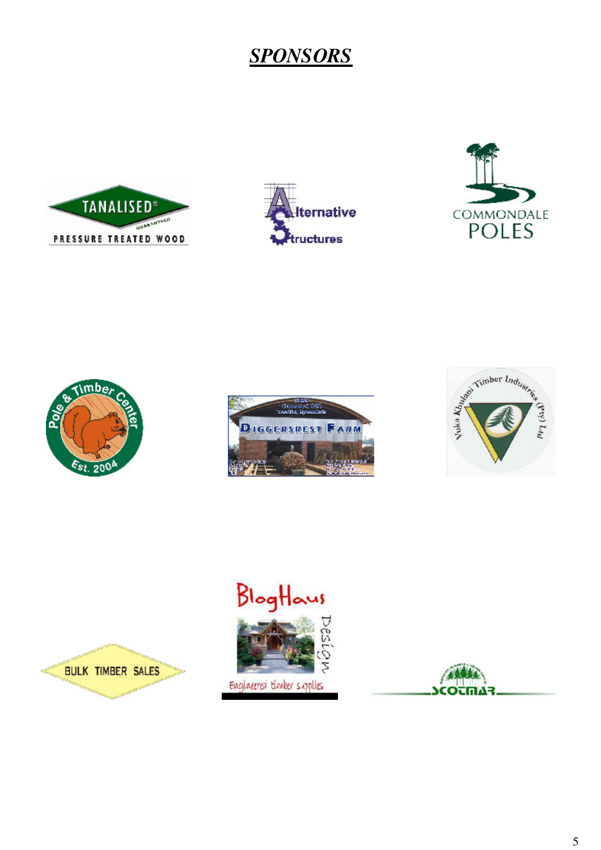# *SPONSORS*









BULK TIMBER SALES

**Commentant Comment** 











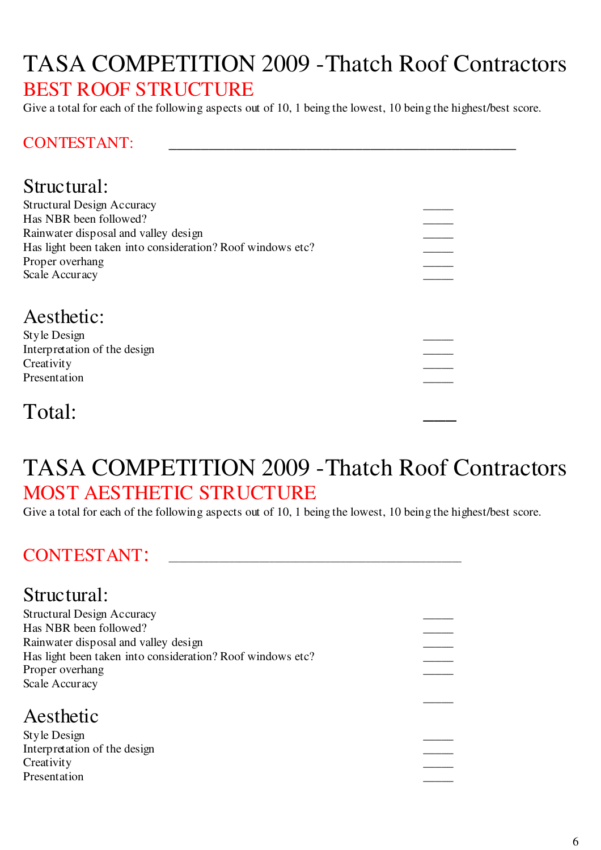# TASA COMPETITION 2009 -Thatch Roof Contractors BEST ROOF STRUCTURE

Give a total for each of the following aspects out of 10, 1 being the lowest, 10 being the highest/best score.

### CONTESTANT:

# Structural:

| <b>Structural Design Accuracy</b><br>Has NBR been followed?<br>Rainwater disposal and valley design<br>Has light been taken into consideration? Roof windows etc?<br>Proper overhang<br>Scale Accuracy |  |
|--------------------------------------------------------------------------------------------------------------------------------------------------------------------------------------------------------|--|
| Aesthetic:<br>Style Design<br>Interpretation of the design<br>Creativity<br>Presentation                                                                                                               |  |
| Total:                                                                                                                                                                                                 |  |

# TASA COMPETITION 2009 -Thatch Roof Contractors MOST AESTHETIC STRUCTURE

Give a total for each of the following aspects out of 10, 1 being the lowest, 10 being the highest/best score.

# CONTESTANT:

### Structural: Structural Design Accuracy \_\_\_\_\_ Has NBR been followed? Rainwater disposal and valley design \_\_\_\_\_ Has light been taken into consideration? Roof windows etc? Proper overhang Scale Accuracy  $\mathcal{L}_\mathcal{L}$  , which is a set of the set of the set of the set of the set of the set of the set of the set of the set of the set of the set of the set of the set of the set of the set of the set of the set of the set of Aesthetic Style Design \_\_\_\_\_ Interpretation of the design \_\_\_\_\_ Creativity **Exercise 2** and 2 and 2 and 2 and 2 and 2 and 2 and 2 and 2 and 2 and 2 and 2 and 2 and 2 and 2 and 2 and 2 and 2 and 2 and 2 and 2 and 2 and 2 and 2 and 2 and 2 and 2 and 2 and 2 and 2 and 2 and 2 and 2 and 2 Presentation \_\_\_\_\_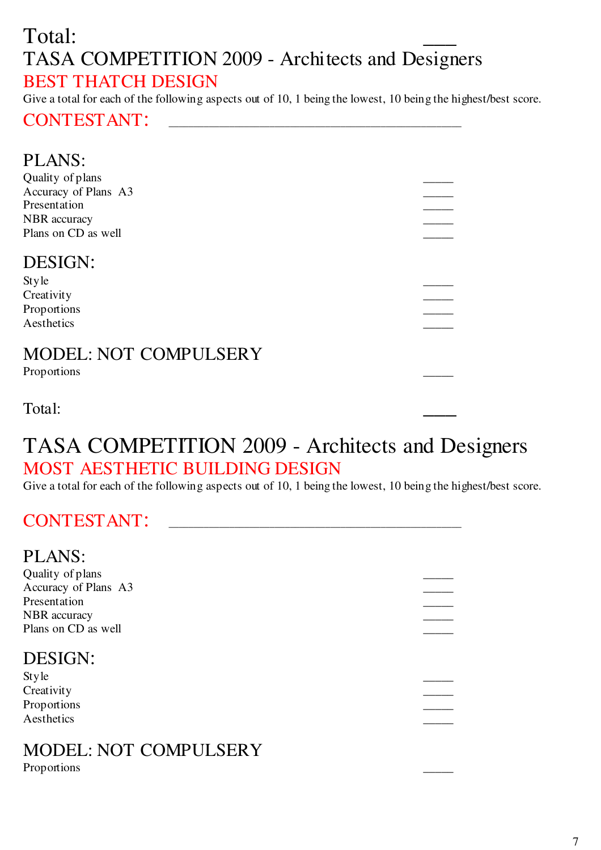# Total: TASA COMPETITION 2009 - Architects and Designers BEST THATCH DESIGN

Give a total for each of the following aspects out of 10, 1 being the lowest, 10 being the highest/best score.

## CONTESTANT: \_\_\_\_\_\_\_\_\_\_\_\_\_\_\_\_\_\_\_\_\_\_\_\_\_\_\_\_\_\_\_\_\_\_\_\_\_\_\_\_\_\_\_\_\_\_\_\_\_\_\_\_\_\_\_\_\_\_

| <b>PLANS:</b>                |  |
|------------------------------|--|
| Quality of plans             |  |
| Accuracy of Plans A3         |  |
| Presentation                 |  |
| <b>NBR</b> accuracy          |  |
| Plans on CD as well          |  |
|                              |  |
| <b>DESIGN:</b>               |  |
| Style                        |  |
| Creativity                   |  |
| Proportions                  |  |
| Aesthetics                   |  |
|                              |  |
| <b>MODEL: NOT COMPULSERY</b> |  |
| Proportions                  |  |

Total:

# TASA COMPETITION 2009 - Architects and Designers MOST AESTHETIC BUILDING DESIGN

Give a total for each of the following aspects out of 10, 1 being the lowest, 10 being the highest/best score.

# CONTESTANT:

### PLANS:

| Quality of plans     |  |
|----------------------|--|
| Accuracy of Plans A3 |  |
| Presentation         |  |
| NBR accuracy         |  |
| Plans on CD as well  |  |
| DESIGN:<br>Style     |  |
|                      |  |
| Creativity           |  |
| Proportions          |  |
| Aesthetics           |  |

# MODEL: NOT COMPULSERY

Proportions